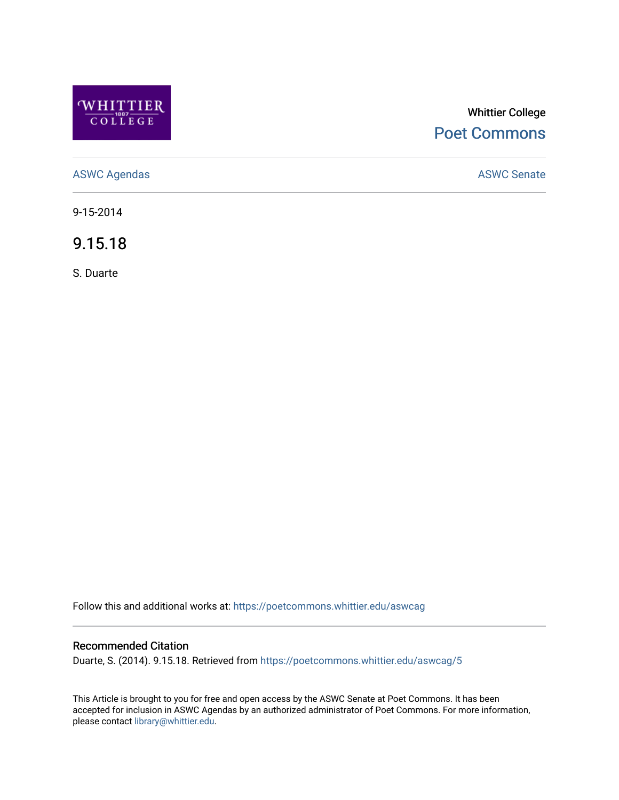

# Whittier College [Poet Commons](https://poetcommons.whittier.edu/)

[ASWC Agendas](https://poetcommons.whittier.edu/aswcag) **ASWC Senate** 

9-15-2014

9.15.18

S. Duarte

Follow this and additional works at: [https://poetcommons.whittier.edu/aswcag](https://poetcommons.whittier.edu/aswcag?utm_source=poetcommons.whittier.edu%2Faswcag%2F5&utm_medium=PDF&utm_campaign=PDFCoverPages) 

# Recommended Citation

Duarte, S. (2014). 9.15.18. Retrieved from [https://poetcommons.whittier.edu/aswcag/5](https://poetcommons.whittier.edu/aswcag/5?utm_source=poetcommons.whittier.edu%2Faswcag%2F5&utm_medium=PDF&utm_campaign=PDFCoverPages)

This Article is brought to you for free and open access by the ASWC Senate at Poet Commons. It has been accepted for inclusion in ASWC Agendas by an authorized administrator of Poet Commons. For more information, please contact [library@whittier.edu](mailto:library@whittier.edu).